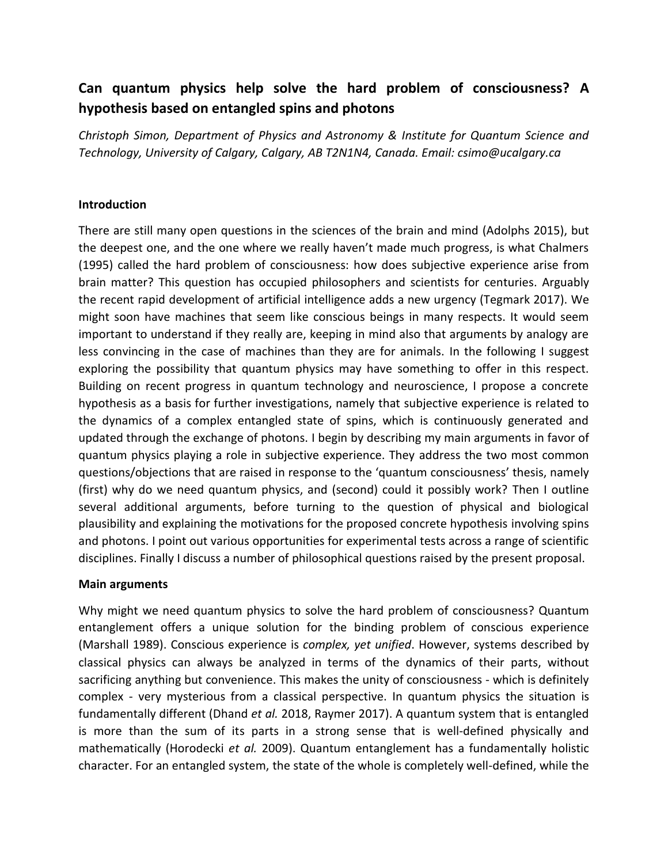# **Can quantum physics help solve the hard problem of consciousness? A hypothesis based on entangled spins and photons**

*Christoph Simon, Department of Physics and Astronomy & Institute for Quantum Science and Technology, University of Calgary, Calgary, AB T2N1N4, Canada. Email: csimo@ucalgary.ca*

### **Introduction**

There are still many open questions in the sciences of the brain and mind (Adolphs 2015), but the deepest one, and the one where we really haven't made much progress, is what Chalmers (1995) called the hard problem of consciousness: how does subjective experience arise from brain matter? This question has occupied philosophers and scientists for centuries. Arguably the recent rapid development of artificial intelligence adds a new urgency (Tegmark 2017). We might soon have machines that seem like conscious beings in many respects. It would seem important to understand if they really are, keeping in mind also that arguments by analogy are less convincing in the case of machines than they are for animals. In the following I suggest exploring the possibility that quantum physics may have something to offer in this respect. Building on recent progress in quantum technology and neuroscience, I propose a concrete hypothesis as a basis for further investigations, namely that subjective experience is related to the dynamics of a complex entangled state of spins, which is continuously generated and updated through the exchange of photons. I begin by describing my main arguments in favor of quantum physics playing a role in subjective experience. They address the two most common questions/objections that are raised in response to the 'quantum consciousness' thesis, namely (first) why do we need quantum physics, and (second) could it possibly work? Then I outline several additional arguments, before turning to the question of physical and biological plausibility and explaining the motivations for the proposed concrete hypothesis involving spins and photons. I point out various opportunities for experimental tests across a range of scientific disciplines. Finally I discuss a number of philosophical questions raised by the present proposal.

#### **Main arguments**

Why might we need quantum physics to solve the hard problem of consciousness? Quantum entanglement offers a unique solution for the binding problem of conscious experience (Marshall 1989). Conscious experience is *complex, yet unified*. However, systems described by classical physics can always be analyzed in terms of the dynamics of their parts, without sacrificing anything but convenience. This makes the unity of consciousness - which is definitely complex - very mysterious from a classical perspective. In quantum physics the situation is fundamentally different (Dhand *et al.* 2018, Raymer 2017). A quantum system that is entangled is more than the sum of its parts in a strong sense that is well-defined physically and mathematically (Horodecki *et al.* 2009). Quantum entanglement has a fundamentally holistic character. For an entangled system, the state of the whole is completely well-defined, while the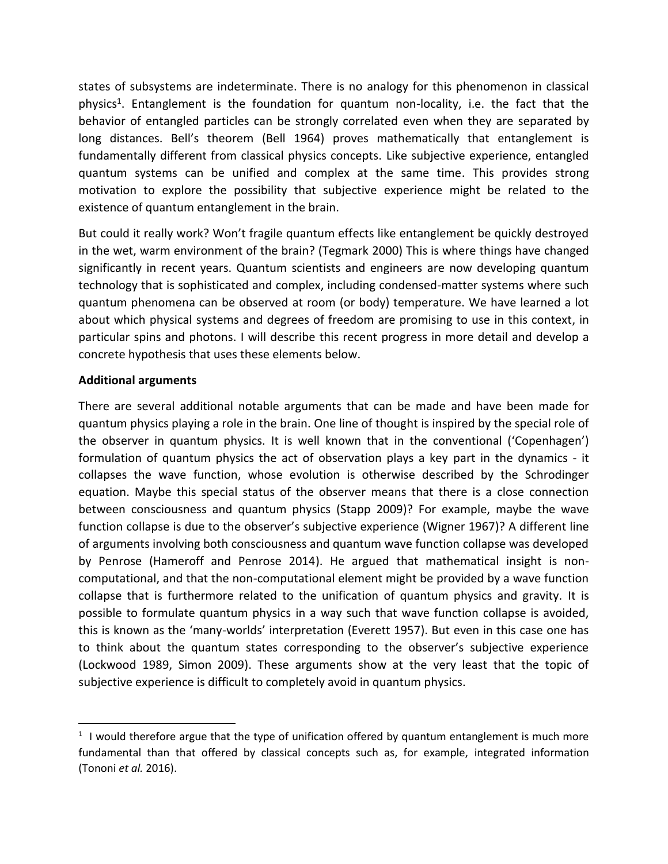states of subsystems are indeterminate. There is no analogy for this phenomenon in classical physics<sup>1</sup>. Entanglement is the foundation for quantum non-locality, i.e. the fact that the behavior of entangled particles can be strongly correlated even when they are separated by long distances. Bell's theorem (Bell 1964) proves mathematically that entanglement is fundamentally different from classical physics concepts. Like subjective experience, entangled quantum systems can be unified and complex at the same time. This provides strong motivation to explore the possibility that subjective experience might be related to the existence of quantum entanglement in the brain.

But could it really work? Won't fragile quantum effects like entanglement be quickly destroyed in the wet, warm environment of the brain? (Tegmark 2000) This is where things have changed significantly in recent years. Quantum scientists and engineers are now developing quantum technology that is sophisticated and complex, including condensed-matter systems where such quantum phenomena can be observed at room (or body) temperature. We have learned a lot about which physical systems and degrees of freedom are promising to use in this context, in particular spins and photons. I will describe this recent progress in more detail and develop a concrete hypothesis that uses these elements below.

# **Additional arguments**

 $\overline{a}$ 

There are several additional notable arguments that can be made and have been made for quantum physics playing a role in the brain. One line of thought is inspired by the special role of the observer in quantum physics. It is well known that in the conventional ('Copenhagen') formulation of quantum physics the act of observation plays a key part in the dynamics - it collapses the wave function, whose evolution is otherwise described by the Schrodinger equation. Maybe this special status of the observer means that there is a close connection between consciousness and quantum physics (Stapp 2009)? For example, maybe the wave function collapse is due to the observer's subjective experience (Wigner 1967)? A different line of arguments involving both consciousness and quantum wave function collapse was developed by Penrose (Hameroff and Penrose 2014). He argued that mathematical insight is noncomputational, and that the non-computational element might be provided by a wave function collapse that is furthermore related to the unification of quantum physics and gravity. It is possible to formulate quantum physics in a way such that wave function collapse is avoided, this is known as the 'many-worlds' interpretation (Everett 1957). But even in this case one has to think about the quantum states corresponding to the observer's subjective experience (Lockwood 1989, Simon 2009). These arguments show at the very least that the topic of subjective experience is difficult to completely avoid in quantum physics.

 $1$  I would therefore argue that the type of unification offered by quantum entanglement is much more fundamental than that offered by classical concepts such as, for example, integrated information (Tononi *et al.* 2016).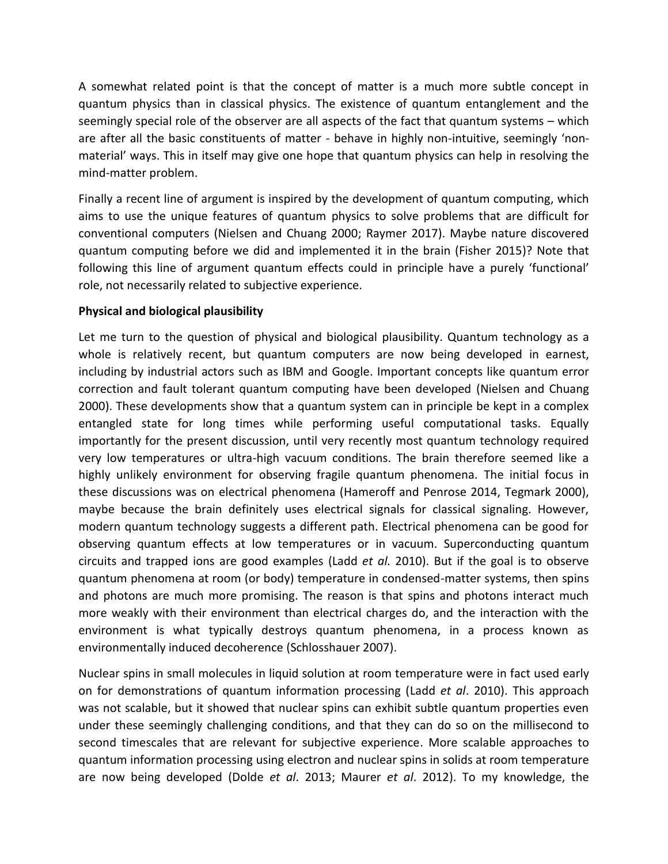A somewhat related point is that the concept of matter is a much more subtle concept in quantum physics than in classical physics. The existence of quantum entanglement and the seemingly special role of the observer are all aspects of the fact that quantum systems – which are after all the basic constituents of matter - behave in highly non-intuitive, seemingly 'nonmaterial' ways. This in itself may give one hope that quantum physics can help in resolving the mind-matter problem.

Finally a recent line of argument is inspired by the development of quantum computing, which aims to use the unique features of quantum physics to solve problems that are difficult for conventional computers (Nielsen and Chuang 2000; Raymer 2017). Maybe nature discovered quantum computing before we did and implemented it in the brain (Fisher 2015)? Note that following this line of argument quantum effects could in principle have a purely 'functional' role, not necessarily related to subjective experience.

## **Physical and biological plausibility**

Let me turn to the question of physical and biological plausibility. Quantum technology as a whole is relatively recent, but quantum computers are now being developed in earnest, including by industrial actors such as IBM and Google. Important concepts like quantum error correction and fault tolerant quantum computing have been developed (Nielsen and Chuang 2000). These developments show that a quantum system can in principle be kept in a complex entangled state for long times while performing useful computational tasks. Equally importantly for the present discussion, until very recently most quantum technology required very low temperatures or ultra-high vacuum conditions. The brain therefore seemed like a highly unlikely environment for observing fragile quantum phenomena. The initial focus in these discussions was on electrical phenomena (Hameroff and Penrose 2014, Tegmark 2000), maybe because the brain definitely uses electrical signals for classical signaling. However, modern quantum technology suggests a different path. Electrical phenomena can be good for observing quantum effects at low temperatures or in vacuum. Superconducting quantum circuits and trapped ions are good examples (Ladd *et al.* 2010). But if the goal is to observe quantum phenomena at room (or body) temperature in condensed-matter systems, then spins and photons are much more promising. The reason is that spins and photons interact much more weakly with their environment than electrical charges do, and the interaction with the environment is what typically destroys quantum phenomena, in a process known as environmentally induced decoherence (Schlosshauer 2007).

Nuclear spins in small molecules in liquid solution at room temperature were in fact used early on for demonstrations of quantum information processing (Ladd *et al*. 2010). This approach was not scalable, but it showed that nuclear spins can exhibit subtle quantum properties even under these seemingly challenging conditions, and that they can do so on the millisecond to second timescales that are relevant for subjective experience. More scalable approaches to quantum information processing using electron and nuclear spins in solids at room temperature are now being developed (Dolde *et al*. 2013; Maurer *et al*. 2012). To my knowledge, the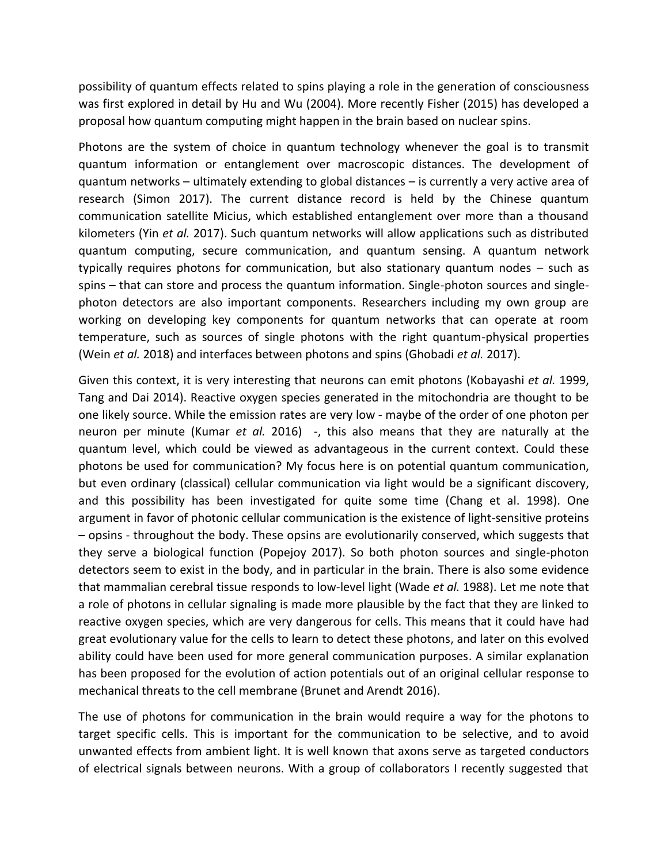possibility of quantum effects related to spins playing a role in the generation of consciousness was first explored in detail by Hu and Wu (2004). More recently Fisher (2015) has developed a proposal how quantum computing might happen in the brain based on nuclear spins.

Photons are the system of choice in quantum technology whenever the goal is to transmit quantum information or entanglement over macroscopic distances. The development of quantum networks – ultimately extending to global distances – is currently a very active area of research (Simon 2017). The current distance record is held by the Chinese quantum communication satellite Micius, which established entanglement over more than a thousand kilometers (Yin *et al.* 2017). Such quantum networks will allow applications such as distributed quantum computing, secure communication, and quantum sensing. A quantum network typically requires photons for communication, but also stationary quantum nodes – such as spins – that can store and process the quantum information. Single-photon sources and singlephoton detectors are also important components. Researchers including my own group are working on developing key components for quantum networks that can operate at room temperature, such as sources of single photons with the right quantum-physical properties (Wein *et al.* 2018) and interfaces between photons and spins (Ghobadi *et al.* 2017).

Given this context, it is very interesting that neurons can emit photons (Kobayashi *et al.* 1999, Tang and Dai 2014). Reactive oxygen species generated in the mitochondria are thought to be one likely source. While the emission rates are very low - maybe of the order of one photon per neuron per minute (Kumar *et al.* 2016) -, this also means that they are naturally at the quantum level, which could be viewed as advantageous in the current context. Could these photons be used for communication? My focus here is on potential quantum communication, but even ordinary (classical) cellular communication via light would be a significant discovery, and this possibility has been investigated for quite some time (Chang et al. 1998). One argument in favor of photonic cellular communication is the existence of light-sensitive proteins – opsins - throughout the body. These opsins are evolutionarily conserved, which suggests that they serve a biological function (Popejoy 2017). So both photon sources and single-photon detectors seem to exist in the body, and in particular in the brain. There is also some evidence that mammalian cerebral tissue responds to low-level light (Wade *et al.* 1988). Let me note that a role of photons in cellular signaling is made more plausible by the fact that they are linked to reactive oxygen species, which are very dangerous for cells. This means that it could have had great evolutionary value for the cells to learn to detect these photons, and later on this evolved ability could have been used for more general communication purposes. A similar explanation has been proposed for the evolution of action potentials out of an original cellular response to mechanical threats to the cell membrane (Brunet and Arendt 2016).

The use of photons for communication in the brain would require a way for the photons to target specific cells. This is important for the communication to be selective, and to avoid unwanted effects from ambient light. It is well known that axons serve as targeted conductors of electrical signals between neurons. With a group of collaborators I recently suggested that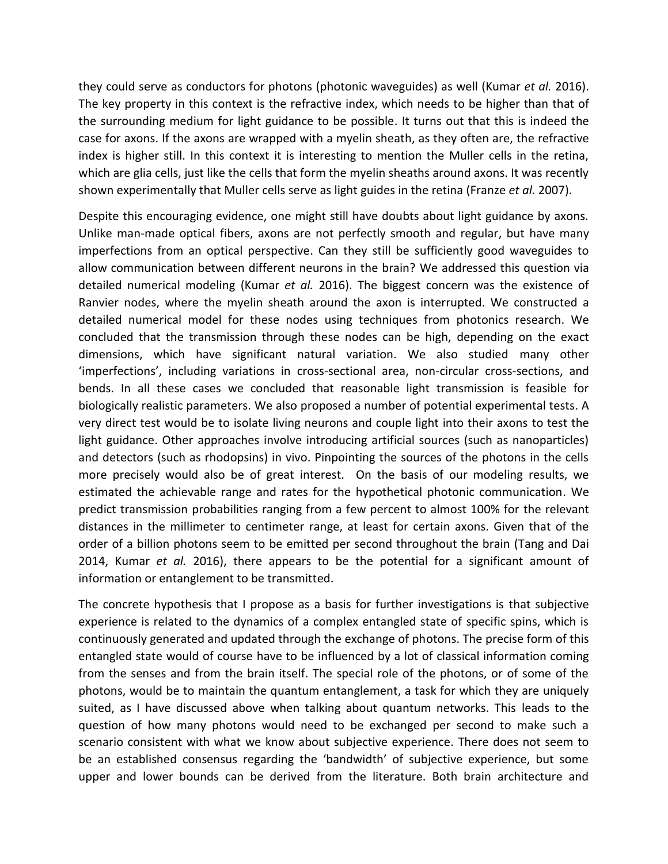they could serve as conductors for photons (photonic waveguides) as well (Kumar *et al.* 2016). The key property in this context is the refractive index, which needs to be higher than that of the surrounding medium for light guidance to be possible. It turns out that this is indeed the case for axons. If the axons are wrapped with a myelin sheath, as they often are, the refractive index is higher still. In this context it is interesting to mention the Muller cells in the retina, which are glia cells, just like the cells that form the myelin sheaths around axons. It was recently shown experimentally that Muller cells serve as light guides in the retina (Franze *et al.* 2007).

Despite this encouraging evidence, one might still have doubts about light guidance by axons. Unlike man-made optical fibers, axons are not perfectly smooth and regular, but have many imperfections from an optical perspective. Can they still be sufficiently good waveguides to allow communication between different neurons in the brain? We addressed this question via detailed numerical modeling (Kumar *et al.* 2016). The biggest concern was the existence of Ranvier nodes, where the myelin sheath around the axon is interrupted. We constructed a detailed numerical model for these nodes using techniques from photonics research. We concluded that the transmission through these nodes can be high, depending on the exact dimensions, which have significant natural variation. We also studied many other 'imperfections', including variations in cross-sectional area, non-circular cross-sections, and bends. In all these cases we concluded that reasonable light transmission is feasible for biologically realistic parameters. We also proposed a number of potential experimental tests. A very direct test would be to isolate living neurons and couple light into their axons to test the light guidance. Other approaches involve introducing artificial sources (such as nanoparticles) and detectors (such as rhodopsins) in vivo. Pinpointing the sources of the photons in the cells more precisely would also be of great interest. On the basis of our modeling results, we estimated the achievable range and rates for the hypothetical photonic communication. We predict transmission probabilities ranging from a few percent to almost 100% for the relevant distances in the millimeter to centimeter range, at least for certain axons. Given that of the order of a billion photons seem to be emitted per second throughout the brain (Tang and Dai 2014, Kumar *et al.* 2016), there appears to be the potential for a significant amount of information or entanglement to be transmitted.

The concrete hypothesis that I propose as a basis for further investigations is that subjective experience is related to the dynamics of a complex entangled state of specific spins, which is continuously generated and updated through the exchange of photons. The precise form of this entangled state would of course have to be influenced by a lot of classical information coming from the senses and from the brain itself. The special role of the photons, or of some of the photons, would be to maintain the quantum entanglement, a task for which they are uniquely suited, as I have discussed above when talking about quantum networks. This leads to the question of how many photons would need to be exchanged per second to make such a scenario consistent with what we know about subjective experience. There does not seem to be an established consensus regarding the 'bandwidth' of subjective experience, but some upper and lower bounds can be derived from the literature. Both brain architecture and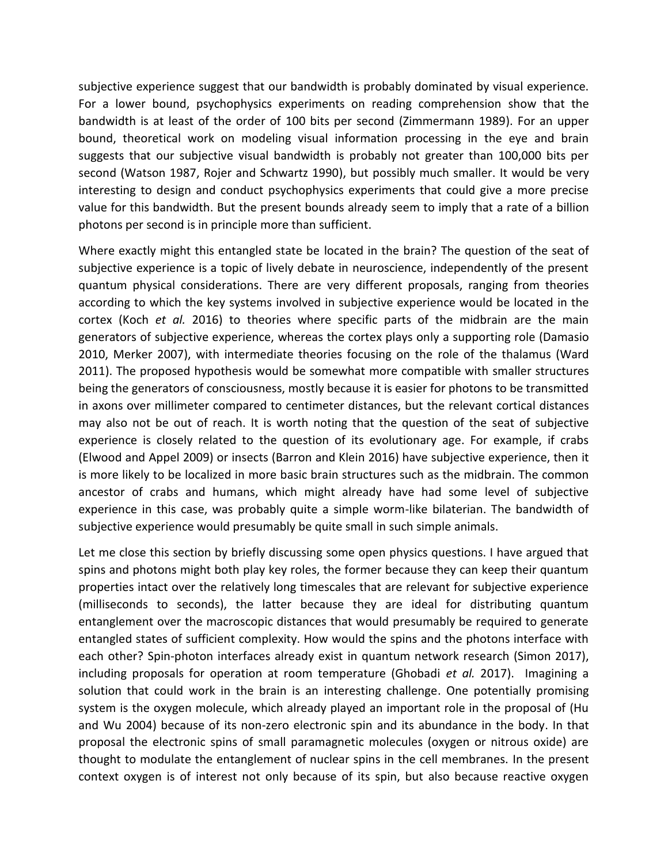subjective experience suggest that our bandwidth is probably dominated by visual experience. For a lower bound, psychophysics experiments on reading comprehension show that the bandwidth is at least of the order of 100 bits per second (Zimmermann 1989). For an upper bound, theoretical work on modeling visual information processing in the eye and brain suggests that our subjective visual bandwidth is probably not greater than 100,000 bits per second (Watson 1987, Rojer and Schwartz 1990), but possibly much smaller. It would be very interesting to design and conduct psychophysics experiments that could give a more precise value for this bandwidth. But the present bounds already seem to imply that a rate of a billion photons per second is in principle more than sufficient.

Where exactly might this entangled state be located in the brain? The question of the seat of subjective experience is a topic of lively debate in neuroscience, independently of the present quantum physical considerations. There are very different proposals, ranging from theories according to which the key systems involved in subjective experience would be located in the cortex (Koch *et al.* 2016) to theories where specific parts of the midbrain are the main generators of subjective experience, whereas the cortex plays only a supporting role (Damasio 2010, Merker 2007), with intermediate theories focusing on the role of the thalamus (Ward 2011). The proposed hypothesis would be somewhat more compatible with smaller structures being the generators of consciousness, mostly because it is easier for photons to be transmitted in axons over millimeter compared to centimeter distances, but the relevant cortical distances may also not be out of reach. It is worth noting that the question of the seat of subjective experience is closely related to the question of its evolutionary age. For example, if crabs (Elwood and Appel 2009) or insects (Barron and Klein 2016) have subjective experience, then it is more likely to be localized in more basic brain structures such as the midbrain. The common ancestor of crabs and humans, which might already have had some level of subjective experience in this case, was probably quite a simple worm-like bilaterian. The bandwidth of subjective experience would presumably be quite small in such simple animals.

Let me close this section by briefly discussing some open physics questions. I have argued that spins and photons might both play key roles, the former because they can keep their quantum properties intact over the relatively long timescales that are relevant for subjective experience (milliseconds to seconds), the latter because they are ideal for distributing quantum entanglement over the macroscopic distances that would presumably be required to generate entangled states of sufficient complexity. How would the spins and the photons interface with each other? Spin-photon interfaces already exist in quantum network research (Simon 2017), including proposals for operation at room temperature (Ghobadi *et al.* 2017). Imagining a solution that could work in the brain is an interesting challenge. One potentially promising system is the oxygen molecule, which already played an important role in the proposal of (Hu and Wu 2004) because of its non-zero electronic spin and its abundance in the body. In that proposal the electronic spins of small paramagnetic molecules (oxygen or nitrous oxide) are thought to modulate the entanglement of nuclear spins in the cell membranes. In the present context oxygen is of interest not only because of its spin, but also because reactive oxygen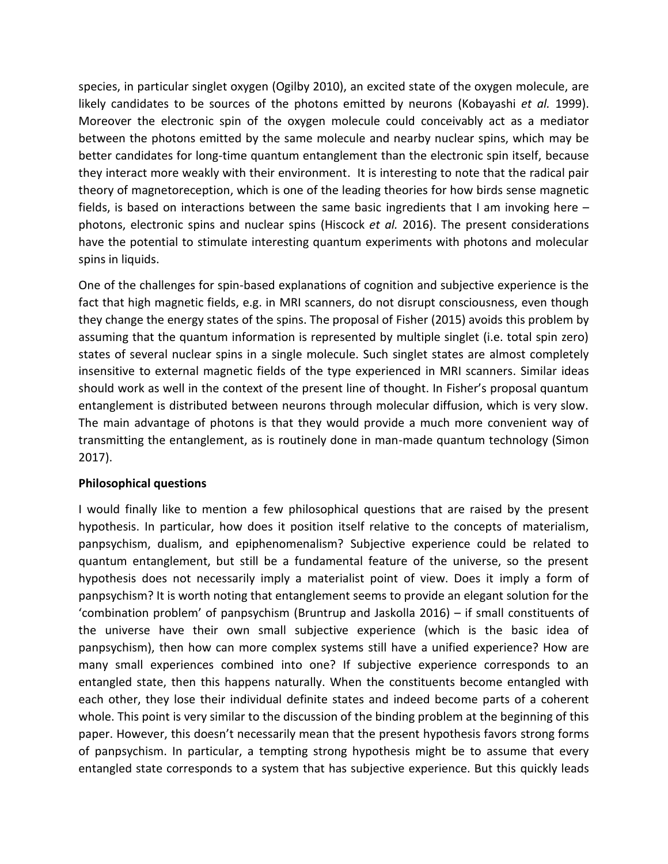species, in particular singlet oxygen (Ogilby 2010), an excited state of the oxygen molecule, are likely candidates to be sources of the photons emitted by neurons (Kobayashi *et al.* 1999). Moreover the electronic spin of the oxygen molecule could conceivably act as a mediator between the photons emitted by the same molecule and nearby nuclear spins, which may be better candidates for long-time quantum entanglement than the electronic spin itself, because they interact more weakly with their environment. It is interesting to note that the radical pair theory of magnetoreception, which is one of the leading theories for how birds sense magnetic fields, is based on interactions between the same basic ingredients that I am invoking here – photons, electronic spins and nuclear spins (Hiscock *et al.* 2016). The present considerations have the potential to stimulate interesting quantum experiments with photons and molecular spins in liquids.

One of the challenges for spin-based explanations of cognition and subjective experience is the fact that high magnetic fields, e.g. in MRI scanners, do not disrupt consciousness, even though they change the energy states of the spins. The proposal of Fisher (2015) avoids this problem by assuming that the quantum information is represented by multiple singlet (i.e. total spin zero) states of several nuclear spins in a single molecule. Such singlet states are almost completely insensitive to external magnetic fields of the type experienced in MRI scanners. Similar ideas should work as well in the context of the present line of thought. In Fisher's proposal quantum entanglement is distributed between neurons through molecular diffusion, which is very slow. The main advantage of photons is that they would provide a much more convenient way of transmitting the entanglement, as is routinely done in man-made quantum technology (Simon 2017).

#### **Philosophical questions**

I would finally like to mention a few philosophical questions that are raised by the present hypothesis. In particular, how does it position itself relative to the concepts of materialism, panpsychism, dualism, and epiphenomenalism? Subjective experience could be related to quantum entanglement, but still be a fundamental feature of the universe, so the present hypothesis does not necessarily imply a materialist point of view. Does it imply a form of panpsychism? It is worth noting that entanglement seems to provide an elegant solution for the 'combination problem' of panpsychism (Bruntrup and Jaskolla 2016) – if small constituents of the universe have their own small subjective experience (which is the basic idea of panpsychism), then how can more complex systems still have a unified experience? How are many small experiences combined into one? If subjective experience corresponds to an entangled state, then this happens naturally. When the constituents become entangled with each other, they lose their individual definite states and indeed become parts of a coherent whole. This point is very similar to the discussion of the binding problem at the beginning of this paper. However, this doesn't necessarily mean that the present hypothesis favors strong forms of panpsychism. In particular, a tempting strong hypothesis might be to assume that every entangled state corresponds to a system that has subjective experience. But this quickly leads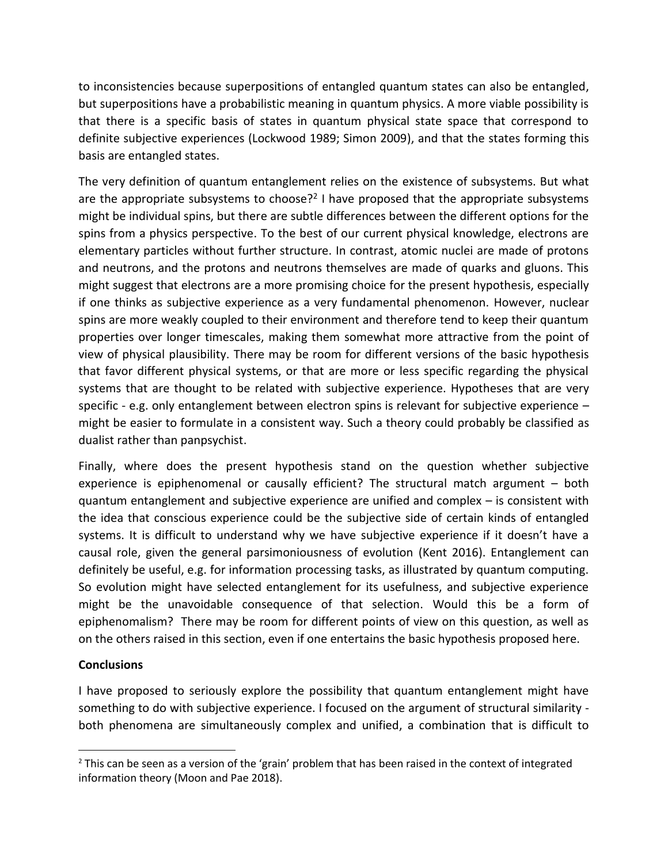to inconsistencies because superpositions of entangled quantum states can also be entangled, but superpositions have a probabilistic meaning in quantum physics. A more viable possibility is that there is a specific basis of states in quantum physical state space that correspond to definite subjective experiences (Lockwood 1989; Simon 2009), and that the states forming this basis are entangled states.

The very definition of quantum entanglement relies on the existence of subsystems. But what are the appropriate subsystems to choose?<sup>2</sup> I have proposed that the appropriate subsystems might be individual spins, but there are subtle differences between the different options for the spins from a physics perspective. To the best of our current physical knowledge, electrons are elementary particles without further structure. In contrast, atomic nuclei are made of protons and neutrons, and the protons and neutrons themselves are made of quarks and gluons. This might suggest that electrons are a more promising choice for the present hypothesis, especially if one thinks as subjective experience as a very fundamental phenomenon. However, nuclear spins are more weakly coupled to their environment and therefore tend to keep their quantum properties over longer timescales, making them somewhat more attractive from the point of view of physical plausibility. There may be room for different versions of the basic hypothesis that favor different physical systems, or that are more or less specific regarding the physical systems that are thought to be related with subjective experience. Hypotheses that are very specific - e.g. only entanglement between electron spins is relevant for subjective experience – might be easier to formulate in a consistent way. Such a theory could probably be classified as dualist rather than panpsychist.

Finally, where does the present hypothesis stand on the question whether subjective experience is epiphenomenal or causally efficient? The structural match argument – both quantum entanglement and subjective experience are unified and complex – is consistent with the idea that conscious experience could be the subjective side of certain kinds of entangled systems. It is difficult to understand why we have subjective experience if it doesn't have a causal role, given the general parsimoniousness of evolution (Kent 2016). Entanglement can definitely be useful, e.g. for information processing tasks, as illustrated by quantum computing. So evolution might have selected entanglement for its usefulness, and subjective experience might be the unavoidable consequence of that selection. Would this be a form of epiphenomalism? There may be room for different points of view on this question, as well as on the others raised in this section, even if one entertains the basic hypothesis proposed here.

# **Conclusions**

 $\overline{\phantom{a}}$ 

I have proposed to seriously explore the possibility that quantum entanglement might have something to do with subjective experience. I focused on the argument of structural similarity both phenomena are simultaneously complex and unified, a combination that is difficult to

 $2$  This can be seen as a version of the 'grain' problem that has been raised in the context of integrated information theory (Moon and Pae 2018).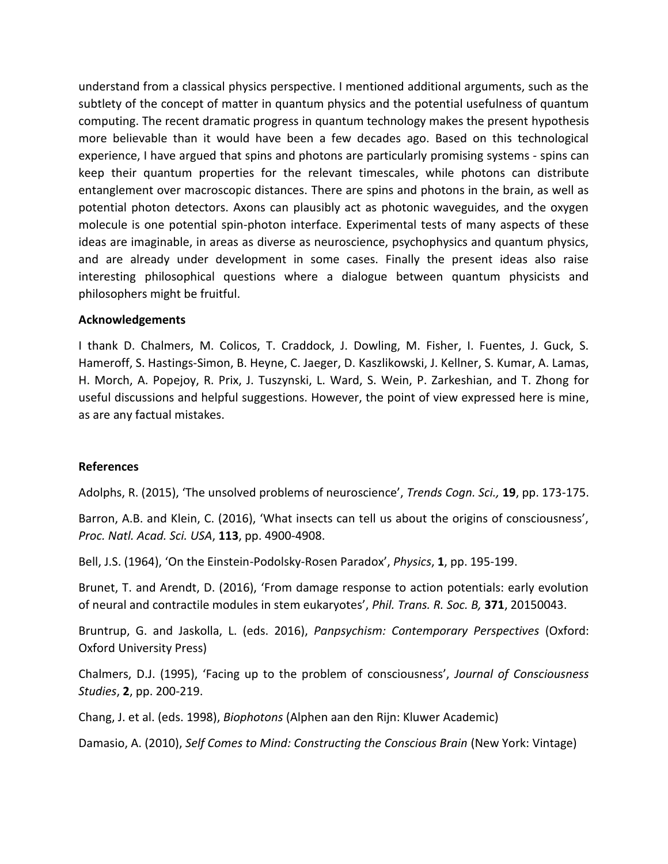understand from a classical physics perspective. I mentioned additional arguments, such as the subtlety of the concept of matter in quantum physics and the potential usefulness of quantum computing. The recent dramatic progress in quantum technology makes the present hypothesis more believable than it would have been a few decades ago. Based on this technological experience, I have argued that spins and photons are particularly promising systems - spins can keep their quantum properties for the relevant timescales, while photons can distribute entanglement over macroscopic distances. There are spins and photons in the brain, as well as potential photon detectors. Axons can plausibly act as photonic waveguides, and the oxygen molecule is one potential spin-photon interface. Experimental tests of many aspects of these ideas are imaginable, in areas as diverse as neuroscience, psychophysics and quantum physics, and are already under development in some cases. Finally the present ideas also raise interesting philosophical questions where a dialogue between quantum physicists and philosophers might be fruitful.

#### **Acknowledgements**

I thank D. Chalmers, M. Colicos, T. Craddock, J. Dowling, M. Fisher, I. Fuentes, J. Guck, S. Hameroff, S. Hastings-Simon, B. Heyne, C. Jaeger, D. Kaszlikowski, J. Kellner, S. Kumar, A. Lamas, H. Morch, A. Popejoy, R. Prix, J. Tuszynski, L. Ward, S. Wein, P. Zarkeshian, and T. Zhong for useful discussions and helpful suggestions. However, the point of view expressed here is mine, as are any factual mistakes.

#### **References**

Adolphs, R. (2015), 'The unsolved problems of neuroscience', *Trends Cogn. Sci.,* **19**, pp. 173-175.

Barron, A.B. and Klein, C. (2016), 'What insects can tell us about the origins of consciousness', *Proc. Natl. Acad. Sci. USA*, **113**, pp. 4900-4908.

Bell, J.S. (1964), 'On the Einstein-Podolsky-Rosen Paradox', *Physics*, **1**, pp. 195-199.

Brunet, T. and Arendt, D. (2016), 'From damage response to action potentials: early evolution of neural and contractile modules in stem eukaryotes', *Phil. Trans. R. Soc. B,* **371**, 20150043.

Bruntrup, G. and Jaskolla, L. (eds. 2016), *Panpsychism: Contemporary Perspectives* (Oxford: Oxford University Press)

Chalmers, D.J. (1995), 'Facing up to the problem of consciousness', *Journal of Consciousness Studies*, **2**, pp. 200-219.

Chang, J. et al. (eds. 1998), *Biophotons* (Alphen aan den Rijn: Kluwer Academic)

Damasio, A. (2010), *Self Comes to Mind: Constructing the Conscious Brain* (New York: Vintage)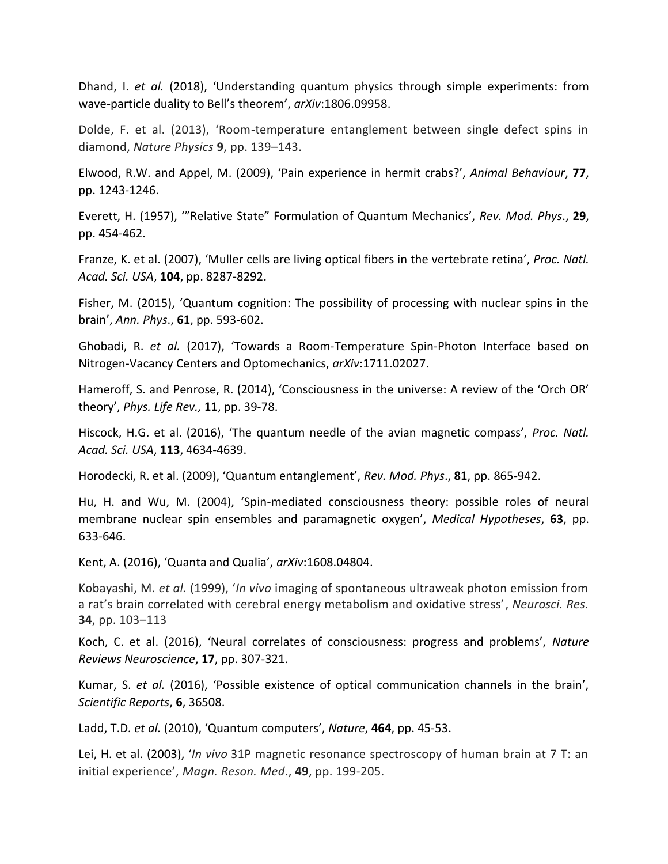Dhand, I. *et al.* (2018), 'Understanding quantum physics through simple experiments: from wave-particle duality to Bell's theorem', *arXiv*:1806.09958.

Dolde, F. et al. (2013), 'Room-temperature entanglement between single defect spins in diamond, *Nature Physics* **9**, pp. 139–143.

Elwood, R.W. and Appel, M. (2009), 'Pain experience in hermit crabs?', *Animal Behaviour*, **77**, pp. 1243-1246.

Everett, H. (1957), '"Relative State" Formulation of Quantum Mechanics', *Rev. Mod. Phys*., **29**, pp. 454-462.

Franze, K. et al. (2007), 'Muller cells are living optical fibers in the vertebrate retina', *Proc. Natl. Acad. Sci. USA*, **104**, pp. 8287-8292.

Fisher, M. (2015), 'Quantum cognition: The possibility of processing with nuclear spins in the brain', *Ann. Phys*., **61**, pp. 593-602.

Ghobadi, R. *et al.* (2017), 'Towards a Room-Temperature Spin-Photon Interface based on Nitrogen-Vacancy Centers and Optomechanics, *arXiv*:1711.02027.

Hameroff, S. and Penrose, R. (2014), 'Consciousness in the universe: A review of the 'Orch OR' theory', *Phys. Life Rev.,* **11**, pp. 39-78.

Hiscock, H.G. et al. (2016), 'The quantum needle of the avian magnetic compass', *Proc. Natl. Acad. Sci. USA*, **113**, 4634-4639.

Horodecki, R. et al. (2009), 'Quantum entanglement', *Rev. Mod. Phys*., **81**, pp. 865-942.

Hu, H. and Wu, M. (2004), 'Spin-mediated consciousness theory: possible roles of neural membrane nuclear spin ensembles and paramagnetic oxygen', *Medical Hypotheses*, **63**, pp. 633-646.

Kent, A. (2016), 'Quanta and Qualia', *arXiv*:1608.04804.

Kobayashi, M. *et al.* (1999), '*In vivo* imaging of spontaneous ultraweak photon emission from a rat's brain correlated with cerebral energy metabolism and oxidative stress', *Neurosci. Res.* **34**, pp. 103–113

Koch, C. et al. (2016), 'Neural correlates of consciousness: progress and problems', *Nature Reviews Neuroscience*, **17**, pp. 307-321.

Kumar, S. *et al.* (2016), 'Possible existence of optical communication channels in the brain', *Scientific Reports*, **6**, 36508.

Ladd, T.D*. et al.* (2010), 'Quantum computers', *Nature*, **464**, pp. 45-53.

Lei, H. et al. (2003), '*In vivo* 31P magnetic resonance spectroscopy of human brain at 7 T: an initial experience', *Magn. Reson. Med*., **49**, pp. 199-205.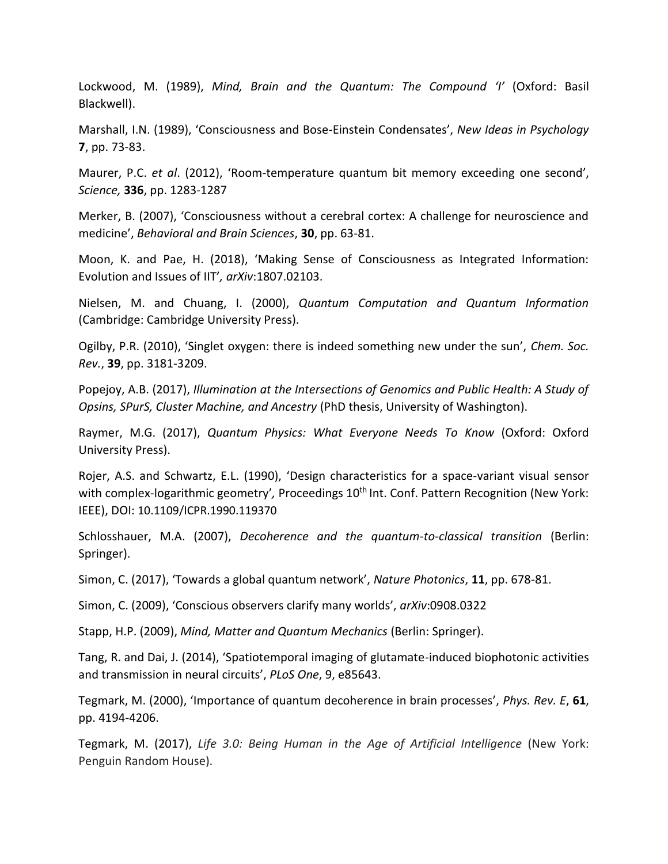Lockwood, M. (1989), *Mind, Brain and the Quantum: The Compound 'I'* (Oxford: Basil Blackwell).

Marshall, I.N. (1989), 'Consciousness and Bose-Einstein Condensates', *New Ideas in Psychology* **7**, pp. 73-83.

Maurer, P.C. *et al*. (2012), 'Room-temperature quantum bit memory exceeding one second', *Science,* **336**, pp. 1283-1287

Merker, B. (2007), 'Consciousness without a cerebral cortex: A challenge for neuroscience and medicine', *Behavioral and Brain Sciences*, **30**, pp. 63-81.

Moon, K. and Pae, H. (2018), 'Making Sense of Consciousness as Integrated Information: Evolution and Issues of IIT'*, arXiv*:1807.02103.

Nielsen, M. and Chuang, I. (2000), *Quantum Computation and Quantum Information* (Cambridge: Cambridge University Press).

Ogilby, P.R. (2010), 'Singlet oxygen: there is indeed something new under the sun', *Chem. Soc. Rev.*, **39**, pp. 3181-3209.

Popejoy, A.B. (2017), *Illumination at the Intersections of Genomics and Public Health: A Study of Opsins, SPurS, Cluster Machine, and Ancestry* (PhD thesis, University of Washington).

Raymer, M.G. (2017), *Quantum Physics: What Everyone Needs To Know* (Oxford: Oxford University Press).

Rojer, A.S. and Schwartz, E.L. (1990), 'Design characteristics for a space-variant visual sensor with complex-logarithmic geometry', Proceedings 10<sup>th</sup> Int. Conf. Pattern Recognition (New York: IEEE), DOI: [10.1109/ICPR.1990.119370](https://doi.org/10.1109/ICPR.1990.119370)

Schlosshauer, M.A. (2007), *Decoherence and the quantum-to-classical transition* (Berlin: Springer).

Simon, C. (2017), 'Towards a global quantum network', *Nature Photonics*, **11**, pp. 678-81.

Simon, C. (2009), 'Conscious observers clarify many worlds', *arXiv*:0908.0322

Stapp, H.P. (2009), *Mind, Matter and Quantum Mechanics* (Berlin: Springer).

Tang, R. and Dai, J. (2014), 'Spatiotemporal imaging of glutamate-induced biophotonic activities and transmission in neural circuits', *PLoS One*, 9, e85643.

Tegmark, M. (2000), 'Importance of quantum decoherence in brain processes', *Phys. Rev. E*, **61**, pp. 4194-4206.

Tegmark, M. (2017), *Life 3.0: Being Human in the Age of Artificial Intelligence* (New York: Penguin Random House).